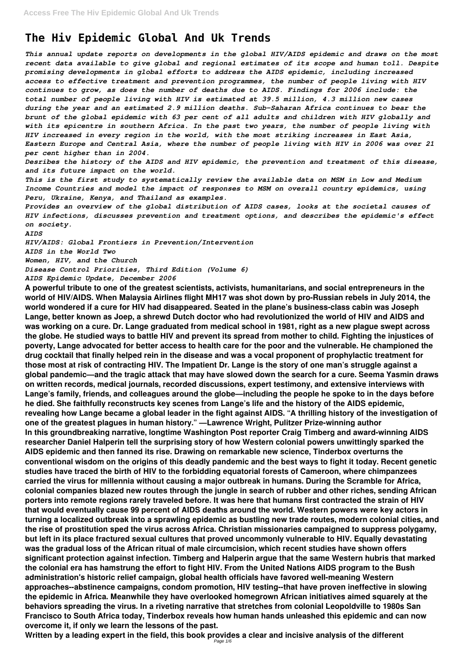## **The Hiv Epidemic Global And Uk Trends**

*This annual update reports on developments in the global HIV/AIDS epidemic and draws on the most recent data available to give global and regional estimates of its scope and human toll. Despite promising developments in global efforts to address the AIDS epidemic, including increased access to effective treatment and prevention programmes, the number of people living with HIV continues to grow, as does the number of deaths due to AIDS. Findings for 2006 include: the total number of people living with HIV is estimated at 39.5 million, 4.3 million new cases during the year and an estimated 2.9 million deaths. Sub-Saharan Africa continues to bear the brunt of the global epidemic with 63 per cent of all adults and children with HIV globally and with its epicentre in southern Africa. In the past two years, the number of people living with HIV increased in every region in the world, with the most striking increases in East Asia, Eastern Europe and Central Asia, where the number of people living with HIV in 2006 was over 21 per cent higher than in 2004.*

*Desribes the history of the AIDS and HIV epidemic, the prevention and treatment of this disease, and its future impact on the world.*

*This is the first study to systematically review the available data on MSM in Low and Medium Income Countries and model the impact of responses to MSM on overall country epidemics, using Peru, Ukraine, Kenya, and Thailand as examples.*

*Provides an overview of the global distribution of AIDS cases, looks at the societal causes of HIV infections, discusses prevention and treatment options, and describes the epidemic's effect on society.*

## *AIDS*

*HIV/AIDS: Global Frontiers in Prevention/Intervention AIDS in the World Two Women, HIV, and the Church*

*Disease Control Priorities, Third Edition (Volume 6)*

*AIDS Epidemic Update, December 2006*

**A powerful tribute to one of the greatest scientists, activists, humanitarians, and social entrepreneurs in the world of HIV/AIDS. When Malaysia Airlines flight MH17 was shot down by pro-Russian rebels in July 2014, the world wondered if a cure for HIV had disappeared. Seated in the plane's business-class cabin was Joseph Lange, better known as Joep, a shrewd Dutch doctor who had revolutionized the world of HIV and AIDS and was working on a cure. Dr. Lange graduated from medical school in 1981, right as a new plague swept across the globe. He studied ways to battle HIV and prevent its spread from mother to child. Fighting the injustices of poverty, Lange advocated for better access to health care for the poor and the vulnerable. He championed the drug cocktail that finally helped rein in the disease and was a vocal proponent of prophylactic treatment for those most at risk of contracting HIV. The Impatient Dr. Lange is the story of one man's struggle against a global pandemic—and the tragic attack that may have slowed down the search for a cure. Seema Yasmin draws on written records, medical journals, recorded discussions, expert testimony, and extensive interviews with Lange's family, friends, and colleagues around the globe—including the people he spoke to in the days before he died. She faithfully reconstructs key scenes from Lange's life and the history of the AIDS epidemic, revealing how Lange became a global leader in the fight against AIDS. "A thrilling history of the investigation of one of the greatest plagues in human history." —Lawrence Wright, Pulitzer Prize-winning author In this groundbreaking narrative, longtime Washington Post reporter Craig Timberg and award-winning AIDS researcher Daniel Halperin tell the surprising story of how Western colonial powers unwittingly sparked the AIDS epidemic and then fanned its rise. Drawing on remarkable new science, Tinderbox overturns the conventional wisdom on the origins of this deadly pandemic and the best ways to fight it today. Recent genetic studies have traced the birth of HIV to the forbidding equatorial forests of Cameroon, where chimpanzees carried the virus for millennia without causing a major outbreak in humans. During the Scramble for Africa, colonial companies blazed new routes through the jungle in search of rubber and other riches, sending African porters into remote regions rarely traveled before. It was here that humans first contracted the strain of HIV that would eventually cause 99 percent of AIDS deaths around the world. Western powers were key actors in turning a localized outbreak into a sprawling epidemic as bustling new trade routes, modern colonial cities, and the rise of prostitution sped the virus across Africa. Christian missionaries campaigned to suppress polygamy, but left in its place fractured sexual cultures that proved uncommonly vulnerable to HIV. Equally devastating was the gradual loss of the African ritual of male circumcision, which recent studies have shown offers significant protection against infection. Timberg and Halperin argue that the same Western hubris that marked the colonial era has hamstrung the effort to fight HIV. From the United Nations AIDS program to the Bush administration's historic relief campaign, global health officials have favored well-meaning Western approaches--abstinence campaigns, condom promotion, HIV testing--that have proven ineffective in slowing the epidemic in Africa. Meanwhile they have overlooked homegrown African initiatives aimed squarely at the behaviors spreading the virus. In a riveting narrative that stretches from colonial Leopoldville to 1980s San Francisco to South Africa today, Tinderbox reveals how human hands unleashed this epidemic and can now overcome it, if only we learn the lessons of the past. Written by a leading expert in the field, this book provides a clear and incisive analysis of the different**

Page  $1/6$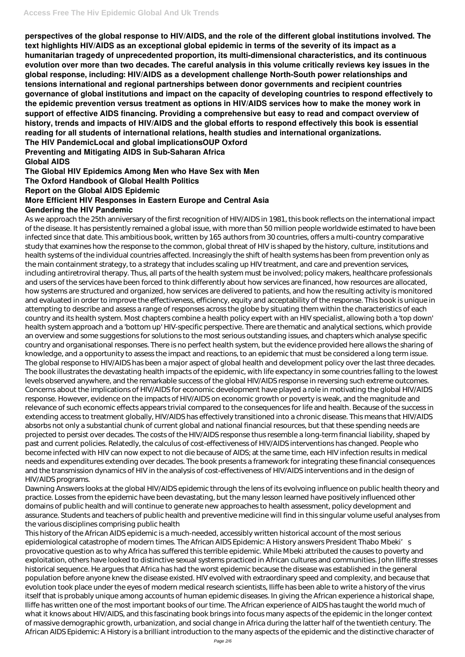**perspectives of the global response to HIV/AIDS, and the role of the different global institutions involved. The text highlights HIV/AIDS as an exceptional global epidemic in terms of the severity of its impact as a humanitarian tragedy of unprecedented proportion, its multi-dimensional characteristics, and its continuous evolution over more than two decades. The careful analysis in this volume critically reviews key issues in the global response, including: HIV/AIDS as a development challenge North-South power relationships and tensions international and regional partnerships between donor governments and recipient countries governance of global institutions and impact on the capacity of developing countries to respond effectively to the epidemic prevention versus treatment as options in HIV/AIDS services how to make the money work in support of effective AIDS financing. Providing a comprehensive but easy to read and compact overview of history, trends and impacts of HIV/AIDS and the global efforts to respond effectively this book is essential reading for all students of international relations, health studies and international organizations. The HIV PandemicLocal and global implicationsOUP Oxford**

**Preventing and Mitigating AIDS in Sub-Saharan Africa Global AIDS**

**The Global HIV Epidemics Among Men who Have Sex with Men The Oxford Handbook of Global Health Politics Report on the Global AIDS Epidemic More Efficient HIV Responses in Eastern Europe and Central Asia Gendering the HIV Pandemic**

As we approach the 25th anniversary of the first recognition of HIV/AIDS in 1981, this book reflects on the international impact of the disease. It has persistently remained a global issue, with more than 50 million people worldwide estimated to have been infected since that date. This ambitious book, written by 165 authors from 30 countries, offers a multi-country comparative study that examines how the response to the common, global threat of HIV is shaped by the history, culture, institutions and health systems of the individual countries affected. Increasingly the shift of health systems has been from prevention only as the main containment strategy, to a strategy that includes scaling up HIV treatment, and care and prevention services, including antiretroviral therapy. Thus, all parts of the health system must be involved; policy makers, healthcare professionals and users of the services have been forced to think differently about how services are financed, how resources are allocated, how systems are structured and organized, how services are delivered to patients, and how the resulting activity is monitored and evaluated in order to improve the effectiveness, efficiency, equity and acceptability of the response. This book is unique in attempting to describe and assess a range of responses across the globe by situating them within the characteristics of each country and its health system. Most chapters combine a health policy expert with an HIV specialist, allowing both a 'top down' health system approach and a 'bottom up' HIV-specific perspective. There are thematic and analytical sections, which provide an overview and some suggestions for solutions to the most serious outstanding issues, and chapters which analyse specific country and organisational responses. There is no perfect health system, but the evidence provided here allows the sharing of knowledge, and a opportunity to assess the impact and reactions, to an epidemic that must be considered a long term issue. The global response to HIV/AIDS has been a major aspect of global health and development policy over the last three decades. The book illustrates the devastating health impacts of the epidemic, with life expectancy in some countries falling to the lowest levels observed anywhere, and the remarkable success of the global HIV/AIDS response in reversing such extreme outcomes. Concerns about the implications of HIV/AIDS for economic development have played a role in motivating the global HIV/AIDS response. However, evidence on the impacts of HIV/AIDS on economic growth or poverty is weak, and the magnitude and relevance of such economic effects appears trivial compared to the consequences for life and health. Because of the success in extending access to treatment globally, HIV/AIDS has effectively transitioned into a chronic disease. This means that HIV/AIDS absorbs not only a substantial chunk of current global and national financial resources, but that these spending needs are projected to persist over decades. The costs of the HIV/AIDS response thus resemble a long-term financial liability, shaped by past and current policies. Relatedly, the calculus of cost-effectiveness of HIV/AIDS interventions has changed. People who become infected with HIV can now expect to not die because of AIDS; at the same time, each HIV infection results in medical needs and expenditures extending over decades. The book presents a framework for integrating these financial consequences and the transmission dynamics of HIV in the analysis of cost-effectiveness of HIV/AIDS interventions and in the design of HIV/AIDS programs.

Dawning Answers looks at the global HIV/AIDS epidemic through the lens of its evolvoing influence on public health theory and practice. Losses from the epidemic have been devastating, but the many lesson learned have positively influenced other domains of public health and will continue to generate new approaches to health assessment, policy development and assurance. Students and teachers of public health and preventive medicine will find in this singular volume useful analyses from the various disciplines comprising public health This history of the African AIDS epidemic is a much-needed, accessibly written historical account of the most serious epidemiological catastrophe of modern times. The African AIDS Epidemic: A History answers President Thabo Mbeki's provocative question as to why Africa has suffered this terrible epidemic. While Mbeki attributed the causes to poverty and exploitation, others have looked to distinctive sexual systems practiced in African cultures and communities. John Iliffe stresses historical sequence. He argues that Africa has had the worst epidemic because the disease was established in the general population before anyone knew the disease existed. HIV evolved with extraordinary speed and complexity, and because that evolution took place under the eyes of modern medical research scientists, Iliffe has been able to write a history of the virus itself that is probably unique among accounts of human epidemic diseases. In giving the African experience a historical shape, Iliffe has written one of the most important books of our time. The African experience of AIDS has taught the world much of what it knows about HIV/AIDS, and this fascinating book brings into focus many aspects of the epidemic in the longer context of massive demographic growth, urbanization, and social change in Africa during the latter half of the twentieth century. The African AIDS Epidemic: A History is a brilliant introduction to the many aspects of the epidemic and the distinctive character of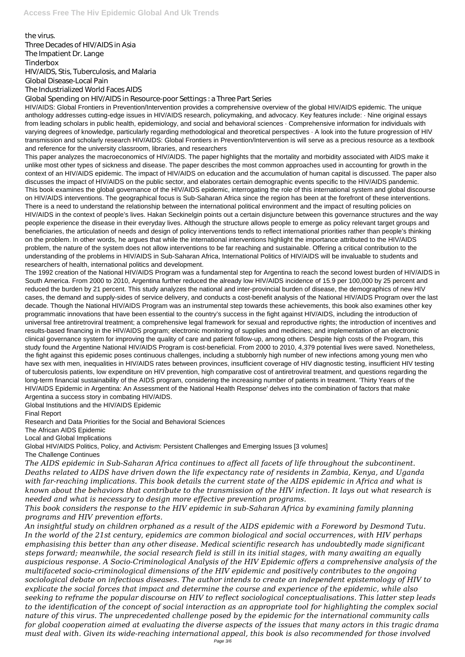the virus. Three Decades of HIV/AIDS in Asia The Impatient Dr. Lange Tinderbox HIV/AIDS, Stis, Tuberculosis, and Malaria Global Disease-Local Pain The Industrialized World Faces AIDS

Global Spending on HIV/AIDS in Resource-poor Settings : a Three Part Series

HIV/AIDS: Global Frontiers in Prevention/Intervention provides a comprehensive overview of the global HIV/AIDS epidemic. The unique anthology addresses cutting-edge issues in HIV/AIDS research, policymaking, and advocacy. Key features include: · Nine original essays from leading scholars in public health, epidemiology, and social and behavioral sciences · Comprehensive information for individuals with varying degrees of knowledge, particularly regarding methodological and theoretical perspectives · A look into the future progression of HIV transmission and scholarly research HIV/AIDS: Global Frontiers in Prevention/Intervention is will serve as a precious resource as a textbook and reference for the university classroom, libraries, and researchers

This paper analyzes the macroeconomics of HIV/AIDS. The paper highlights that the mortality and morbidity associated with AIDS make it unlike most other types of sickness and disease. The paper describes the most common approaches used in accounting for growth in the context of an HIV/AIDS epidemic. The impact of HIV/AIDS on education and the accumulation of human capital is discussed. The paper also discusses the impact of HIV/AIDS on the public sector, and elaborates certain demographic events specific to the HIV/AIDS pandemic. This book examines the global governance of the HIV/AIDS epidemic, interrogating the role of this international system and global discourse on HIV/AIDS interventions. The geographical focus is Sub-Saharan Africa since the region has been at the forefront of these interventions. There is a need to understand the relationship between the international political environment and the impact of resulting policies on HIV/AIDS in the context of people's lives. Hakan Seckinelgin points out a certain disjuncture between this governance structures and the way people experience the disease in their everyday lives. Although the structure allows people to emerge as policy relevant target groups and beneficiaries, the articulation of needs and design of policy interventions tends to reflect international priorities rather than people's thinking on the problem. In other words, he argues that while the international interventions highlight the importance attributed to the HIV/AIDS problem, the nature of the system does not allow interventions to be far reaching and sustainable. Offering a critical contribution to the understanding of the problems in HIV/AIDS in Sub-Saharan Africa, International Politics of HIV/AIDS will be invaluable to students and researchers of health, international politics and development.

The 1992 creation of the National HIV/AIDS Program was a fundamental step for Argentina to reach the second lowest burden of HIV/AIDS in South America. From 2000 to 2010, Argentina further reduced the already low HIV/AIDS incidence of 15.9 per 100,000 by 25 percent and reduced the burden by 21 percent. This study analyzes the national and inter-provincial burden of disease, the demographics of new HIV cases, the demand and supply-sides of service delivery, and conducts a cost-benefit analysis of the National HIV/AIDS Program over the last decade. Though the National HIV/AIDS Program was an instrumental step towards these achievements, this book also examines other key programmatic innovations that have been essential to the country's success in the fight against HIV/AIDS, including the introduction of universal free antiretroviral treatment; a comprehensive legal framework for sexual and reproductive rights; the introduction of incentives and results-based financing in the HIV/AIDS program; electronic monitoring of supplies and medicines; and implementation of an electronic clinical governance system for improving the quality of care and patient follow-up, among others. Despite high costs of the Program, this study found the Argentine National HIV/AIDS Program is cost-beneficial. From 2000 to 2010, 4,379 potential lives were saved. Nonetheless, the fight against this epidemic poses continuous challenges, including a stubbornly high number of new infections among young men who have sex with men, inequalities in HIV/AIDS rates between provinces, insufficient coverage of HIV diagnostic testing, insufficient HIV testing of tuberculosis patients, low expenditure on HIV prevention, high comparative cost of antiretroviral treatment, and questions regarding the long-term financial sustainability of the AIDS program, considering the increasing number of patients in treatment. 'Thirty Years of the HIV/AIDS Epidemic in Argentina: An Assessment of the National Health Response' delves into the combination of factors that make Argentina a success story in combating HIV/AIDS.

Global Institutions and the HIV/AIDS Epidemic

Final Report

Research and Data Priorities for the Social and Behavioral Sciences

The African AIDS Epidemic

Local and Global Implications

Global HIV/AIDS Politics, Policy, and Activism: Persistent Challenges and Emerging Issues [3 volumes] The Challenge Continues

*The AIDS epidemic in Sub-Saharan Africa continues to affect all facets of life throughout the subcontinent. Deaths related to AIDS have driven down the life expectancy rate of residents in Zambia, Kenya, and Uganda with far-reaching implications. This book details the current state of the AIDS epidemic in Africa and what is known about the behaviors that contribute to the transmission of the HIV infection. It lays out what research is*

*needed and what is necessary to design more effective prevention programs.*

*This book considers the response to the HIV epidemic in sub-Saharan Africa by examining family planning programs and HIV prevention efforts.*

*An insightful study on children orphaned as a result of the AIDS epidemic with a Foreword by Desmond Tutu. In the world of the 21st century, epidemics are common biological and social occurrences, with HIV perhaps emphasising this better than any other disease. Medical scientific research has undoubtedly made significant steps forward; meanwhile, the social research field is still in its initial stages, with many awaiting an equally auspicious response. A Socio-Criminological Analysis of the HIV Epidemic offers a comprehensive analysis of the multifaceted socio-criminological dimensions of the HIV epidemic and positively contributes to the ongoing sociological debate on infectious diseases. The author intends to create an independent epistemology of HIV to explicate the social forces that impact and determine the course and experience of the epidemic, while also seeking to reframe the popular discourse on HIV to reflect sociological conceptualisations. This latter step leads to the identification of the concept of social interaction as an appropriate tool for highlighting the complex social nature of this virus. The unprecedented challenge posed by the epidemic for the international community calls for global cooperation aimed at evaluating the diverse aspects of the issues that many actors in this tragic drama must deal with. Given its wide-reaching international appeal, this book is also recommended for those involved* Page 3/6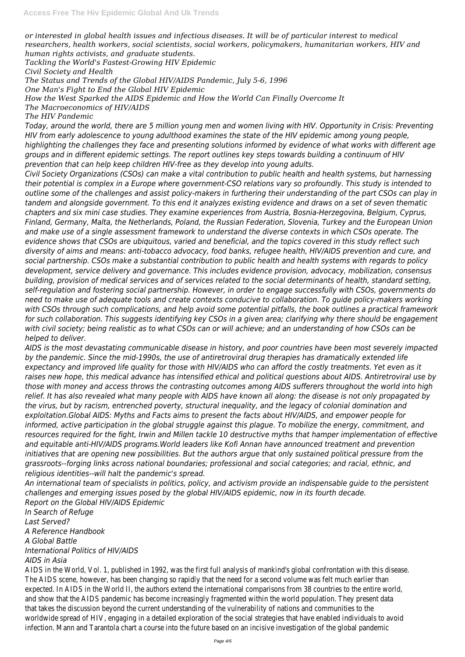*or interested in global health issues and infectious diseases. It will be of particular interest to medical researchers, health workers, social scientists, social workers, policymakers, humanitarian workers, HIV and human rights activists, and graduate students.*

*Tackling the World's Fastest-Growing HIV Epidemic*

*Civil Society and Health*

*The Status and Trends of the Global HIV/AIDS Pandemic, July 5-6, 1996*

*One Man's Fight to End the Global HIV Epidemic*

*How the West Sparked the AIDS Epidemic and How the World Can Finally Overcome It*

*The Macroeconomics of HIV/AIDS*

*The HIV Pandemic*

*Today, around the world, there are 5 million young men and women living with HIV. Opportunity in Crisis: Preventing HIV from early adolescence to young adulthood examines the state of the HIV epidemic among young people, highlighting the challenges they face and presenting solutions informed by evidence of what works with different age groups and in different epidemic settings. The report outlines key steps towards building a continuum of HIV prevention that can help keep children HIV-free as they develop into young adults.*

*Civil Society Organizations (CSOs) can make a vital contribution to public health and health systems, but harnessing their potential is complex in a Europe where government-CSO relations vary so profoundly. This study is intended to outline some of the challenges and assist policy-makers in furthering their understanding of the part CSOs can play in tandem and alongside government. To this end it analyzes existing evidence and draws on a set of seven thematic chapters and six mini case studies. They examine experiences from Austria, Bosnia-Herzegovina, Belgium, Cyprus, Finland, Germany, Malta, the Netherlands, Poland, the Russian Federation, Slovenia, Turkey and the European Union and make use of a single assessment framework to understand the diverse contexts in which CSOs operate. The evidence shows that CSOs are ubiquitous, varied and beneficial, and the topics covered in this study reflect such diversity of aims and means: anti-tobacco advocacy, food banks, refugee health, HIV/AIDS prevention and cure, and social partnership. CSOs make a substantial contribution to public health and health systems with regards to policy development, service delivery and governance. This includes evidence provision, advocacy, mobilization, consensus building, provision of medical services and of services related to the social determinants of health, standard setting, self-regulation and fostering social partnership. However, in order to engage successfully with CSOs, governments do need to make use of adequate tools and create contexts conducive to collaboration. To guide policy-makers working with CSOs through such complications, and help avoid some potential pitfalls, the book outlines a practical framework for such collaboration. This suggests identifying key CSOs in a given area; clarifying why there should be engagement with civil society; being realistic as to what CSOs can or will achieve; and an understanding of how CSOs can be helped to deliver.*

*An international team of specialists in politics, policy, and activism provide an indispensable guide to the persistent challenges and emerging issues posed by the global HIV/AIDS epidemic, now in its fourth decade. Report on the Global HIV/AIDS Epidemic In Search of Refuge Last Served? A Reference Handbook A Global Battle International Politics of HIV/AIDS AIDS in Asia* AIDS in the World, Vol. 1, published in 1992, was the first full analysis of mankind's global confrontation with this discusses. The AIDS scene, however, has been changing so rapidly that the need for a second volume was felt much earlier th expected. In AIDS in the World II, the authors extend the international comparisons from 38 countries to the entire and show that the AIDS pandemic has become increasingly fragmented within the world population. They present d that takes the discussion beyond the current understanding of the vulnerability of nations and communities to the worldwide spread of HIV, engaging in a detailed exploration of the social strategies that have enabled individuals to infection. Mann and Tarantola chart a course into the future based on an incisive investigation of the global pande

*AIDS is the most devastating communicable disease in history, and poor countries have been most severely impacted by the pandemic. Since the mid-1990s, the use of antiretroviral drug therapies has dramatically extended life expectancy and improved life quality for those with HIV/AIDS who can afford the costly treatments. Yet even as it raises new hope, this medical advance has intensified ethical and political questions about AIDS. Antiretroviral use by those with money and access throws the contrasting outcomes among AIDS sufferers throughout the world into high relief. It has also revealed what many people with AIDS have known all along: the disease is not only propagated by the virus, but by racism, entrenched poverty, structural inequality, and the legacy of colonial domination and exploitation.Global AIDS: Myths and Facts aims to present the facts about HIV/AIDS, and empower people for informed, active participation in the global struggle against this plague. To mobilize the energy, commitment, and resources required for the fight, Irwin and Millen tackle 10 destructive myths that hamper implementation of effective and equitable anti-HIV/AIDS programs.World leaders like Kofi Annan have announced treatment and prevention initiatives that are opening new possibilities. But the authors argue that only sustained political pressure from the grassroots--forging links across national boundaries; professional and social categories; and racial, ethnic, and religious identities--will halt the pandemic's spread.*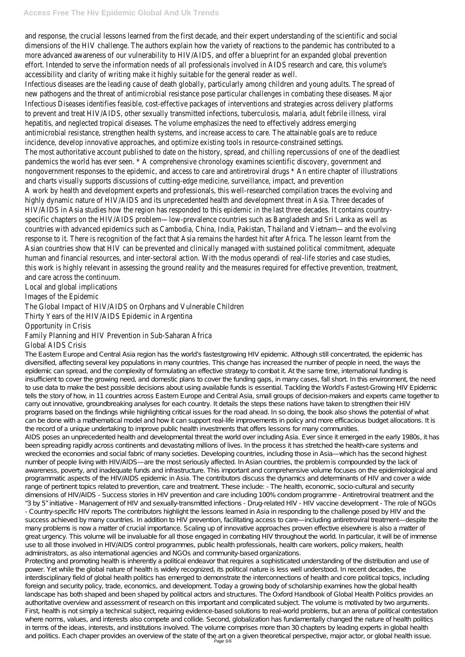## **Access Free The Hiv Epidemic Global And Uk Trends**

and response, the crucial lessons learned from the first decade, and their expert understanding of the scientific ar dimensions of the HIV challenge. The authors explain how the variety of reactions to the pandemic has contributed more advanced awareness of our vulnerability to HIV/AIDS, and offer a blueprint for an expanded global prevention effort. Intended to serve the information needs of all professionals involved in AIDS research and care, this volume accessibility and clarity of writing make it highly suitable for the general reader as well.

Infectious diseases are the leading cause of death globally, particularly among children and young adults. The sprea new pathogens and the threat of antimicrobial resistance pose particular challenges in combating these diseases. Infectious Diseases identifies feasible, cost-effective packages of interventions and strategies across delivery platf to prevent and treat HIV/AIDS, other sexually transmitted infections, tuberculosis, malaria, adult febrile illness, viral hepatitis, and neglected tropical diseases. The volume emphasizes the need to effectively address emerging antimicrobial resistance, strengthen health systems, and increase access to care. The attainable goals are to reduc incidence, develop innovative approaches, and optimize existing tools in resource-constrained settings. The most authoritative account published to date on the history, spread, and chilling repercussions of one of the d pandemics the world has ever seen. \* A comprehensive chronology examines scientific discovery, government and nongovernment responses to the epidemic, and access to care and antiretroviral drugs \* An entire chapter of illust and charts visually supports discussions of cutting-edge medicine, surveillance, impact, and prevention A work by health and development experts and professionals, this well-researched compilation traces the evolving highly dynamic nature of HIV/AIDS and its unprecedented health and development threat in Asia. Three decades of HIV/AIDS in Asia studies how the region has responded to this epidemic in the last three decades. It contains coun specific chapters on the HIV/AIDS problem—low-prevalence countries such as Bangladesh and Sri Lanka as well as countries with advanced epidemics such as Cambodia, China, India, Pakistan, Thailand and Vietnam—and the evolving response to it. There is recognition of the fact that Asia remains the hardest hit after Africa. The lesson learnt fro Asian countries show that HIV can be prevented and clinically managed with sustained political commitment, adequ human and financial resources, and inter-sectoral action. With the modus operandi of real-life stories and case stu this work is highly relevant in assessing the ground reality and the measures required for effective prevention, treat and care across the continuum.

AIDS poses an unprecedented health and developmental threat the world over including Asia. Ever since it emerged in the early 1980s, it has been spreading rapidly across continents and devastating millions of lives. In the process it has stretched the health-care systems and wrecked the economies and social fabric of many societies. Developing countries, including those in Asia—which has the second highest number of people living with HIV/AIDS—are the most seriously affected. In Asian countries, the problem is compounded by the lack of awareness, poverty, and inadequate funds and infrastructure. This important and comprehensive volume focuses on the epidemiological and programmatic aspects of the HIV/AIDS epidemic in Asia. The contributors discuss the dynamics and determinants of HIV and cover a wide range of pertinent topics related to prevention, care and treatment. These include: - The health, economic, socio-cultural and security dimensions of HIV/AIDS - Success stories in HIV prevention and care including 100% condom programme - Antiretroviral treatment and the "3 by 5" initiative - Management of HIV and sexually-transmitted infections - Drug-related HIV - HIV vaccine development - The role of NGOs - Country-specific HIV reports The contributors highlight the lessons learned in Asia in responding to the challenge posed by HIV and the success achieved by many countries. In addition to HIV prevention, facilitating access to care—including antiretroviral treatment—despite the many problems is now a matter of crucial importance. Scaling up of innovative approaches proven effective elsewhere is also a matter of great urgency. This volume will be invaluable for all those engaged in combating HIV throughout the world. In particular, it will be of immense use to all those involved in HIV AIDS control programmes, public health professionals, health care workers, policy makers, health administrators, as also international agencies and NGOs and community-based organizations. Protecting and promoting health is inherently a political endeavor that requires a sophisticated understanding of the distribution and use of power. Yet while the global nature of health is widely recognized, its political nature is less well understood. In recent decades, the interdisciplinary field of global health politics has emerged to demonstrate the interconnections of health and core political topics, including foreign and security policy, trade, economics, and development. Today a growing body of scholarship examines how the global health landscape has both shaped and been shaped by political actors and structures. The Oxford Handbook of Global Health Politics provides an authoritative overview and assessment of research on this important and complicated subject. The volume is motivated by two arguments. First, health is not simply a technical subject, requiring evidence-based solutions to real-world problems, but an arena of political contestation where norms, values, and interests also compete and collide. Second, globalization has fundamentally changed the nature of health politics in terms of the ideas, interests, and institutions involved. The volume comprises more than 30 chapters by leading experts in global health and politics. Each chaper provides an overview of the state of the art on a given theoretical perspective, major actor, or global health issue.<br>Page 5/6

Local and global implications

Images of the Epidemic

The Global Impact of HIV/AIDS on Orphans and Vulnerable Children

Thirty Years of the HIV/AIDS Epidemic in Argentina

Opportunity in Crisis

## Family Planning and HIV Prevention in Sub-Saharan Africa

Global AIDS Crisis

The Eastern Europe and Central Asia region has the world's fastestgrowing HIV epidemic. Although still concentrated, the epidemic has diversified, affecting several key populations in many countries. This change has increased the number of people in need, the ways the epidemic can spread, and the complexity of formulating an effective strategy to combat it. At the same time, international funding is insufficient to cover the growing need, and domestic plans to cover the funding gaps, in many cases, fall short. In this environment, the need to use data to make the best possible decisions about using available funds is essential. Tackling the World's Fastest-Growing HIV Epidemic tells the story of how, in 11 countries across Eastern Europe and Central Asia, small groups of decision-makers and experts came together to carry out innovative, groundbreaking analyses for each country. It details the steps these nations have taken to strengthen their HIV programs based on the findings while highlighting critical issues for the road ahead. In so doing, the book also shows the potential of what can be done with a mathematical model and how it can support real-life improvements in policy and more efficacious budget allocations. It is the record of a unique undertaking to improve public health investments that offers lessons for many communities.